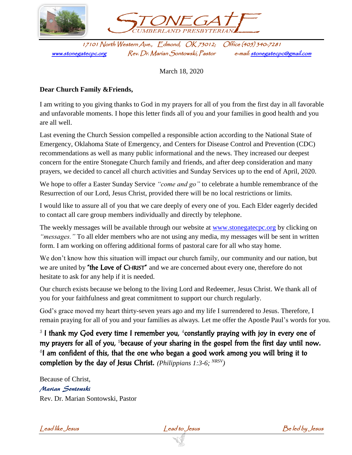

March 18, 2020

## **Dear Church Family &Friends,**

I am writing to you giving thanks to God in my prayers for all of you from the first day in all favorable and unfavorable moments. I hope this letter finds all of you and your families in good health and you are all well.

Last evening the Church Session compelled a responsible action according to the National State of Emergency, Oklahoma State of Emergency, and Centers for Disease Control and Prevention (CDC) recommendations as well as many public informational and the news. They increased our deepest concern for the entire Stonegate Church family and friends, and after deep consideration and many prayers, we decided to cancel all church activities and Sunday Services up to the end of April, 2020.

We hope to offer a Easter Sunday Service *"come and go"* to celebrate a humble remembrance of the Resurrection of our Lord, Jesus Christ, provided there will be no local restrictions or limits.

I would like to assure all of you that we care deeply of every one of you. Each Elder eagerly decided to contact all care group members individually and directly by telephone.

The weekly messages will be available through our website at [www.stonegatecpc.org](http://www.stonegatecpc.org/) by clicking on *"messages."* To all elder members who are not using any media, my messages will be sent in written form. I am working on offering additional forms of pastoral care for all who stay home.

We don't know how this situation will impact our church family, our community and our nation, but we are united by "the Love of CHRIST" and we are concerned about every one, therefore do not hesitate to ask for any help if it is needed.

Our church exists because we belong to the living Lord and Redeemer, Jesus Christ. We thank all of you for your faithfulness and great commitment to support our church regularly.

God's grace moved my heart thirty-seven years ago and my life I surrendered to Jesus. Therefore, I remain praying for all of you and your families as always. Let me offer the Apostle Paul's words for you.

<sup>3</sup> I thank my God every time I remember you, <sup>4</sup> constantly praying with joy in every one of my prayers for all of you, <sup>5</sup>because of your sharing in the gospel from the first day until now. <sup>6</sup>I am confident of this, that the one who began a good work among you will bring it to completion by the day of Jesus Christ. *(Philippians 1:3-6; NRSV)*

Because of Christ, Marian Sontowski Rev. Dr. Marian Sontowski, Pastor

Lead like Jesus Lead to Jesus Be led by Jesus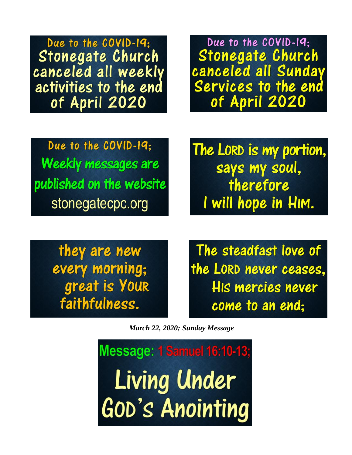Due to the COVID-19: **Stonegate Church** canceled all weekly activities to the end of April 2020

Due to the COVID-19: Stonegate Church canceled all Sunday Services to the end of April 2020

Due to the COVID-19: **Weekly messages are** published on the website stonegatecpc.org

The LORD is my portion, says my soul, therefore I will hope in HIM.

they are new every morning; great is Your faithfulness.

The steadfast love of the LORD never ceases. HIS mercies never come to an end:

March 22, 2020; Sunday Message

**Message: 1 Samuel 16:10-13;** Living Under **GOD's Anointing**